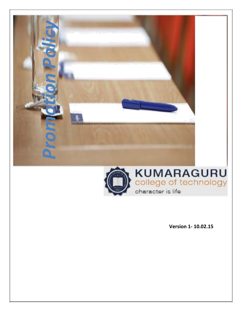



**Version 1- 10.02.15**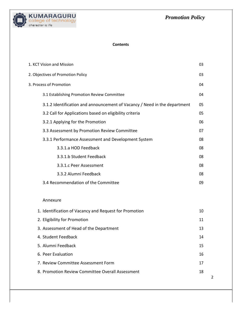2



#### **Contents**

| 1. KCT Vision and Mission                                                 | 03 |
|---------------------------------------------------------------------------|----|
| 2. Objectives of Promotion Policy                                         | 03 |
| 3. Process of Promotion                                                   | 04 |
| 3.1 Establishing Promotion Review Committee                               | 04 |
| 3.1.2 Identification and announcement of Vacancy / Need in the department | 05 |
| 3.2 Call for Applications based on eligibility criteria                   | 05 |
| 3.2.1 Applying for the Promotion                                          | 06 |
| 3.3 Assessment by Promotion Review Committee                              | 07 |
| 3.3.1 Performance Assessment and Development System                       | 08 |
| 3.3.1.a HOD Feedback                                                      | 08 |
| 3.3.1.b Student Feedback                                                  | 08 |
| 3.3.1.c Peer Assessment                                                   | 08 |
| 3.3.2 Alumni Feedback                                                     | 08 |
| 3.4 Recommendation of the Committee                                       | 09 |
| Annexure                                                                  |    |
| 1. Identification of Vacancy and Request for Promotion                    | 10 |
| 2. Eligibility for Promotion                                              | 11 |
| 3. Assessment of Head of the Department                                   | 13 |
| 4. Student Feedback                                                       | 14 |
| 5. Alumni Feedback                                                        | 15 |
| 6. Peer Evaluation                                                        | 16 |
| 7. Review Committee Assessment Form                                       | 17 |
| 8. Promotion Review Committee Overall Assessment                          | 18 |
|                                                                           |    |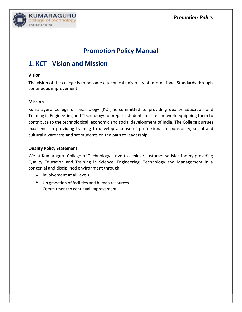

# **Promotion Policy Manual**

## **1. KCT - Vision and Mission**

#### **Vision**

The vision of the college is to become a technical university of International Standards through continuous improvement.

#### **Mission**

Kumaraguru College of Technology (KCT) is committed to providing quality Education and Training in Engineering and Technology to prepare students for life and work equipping them to contribute to the technological, economic and social development of India. The College pursues excellence in providing training to develop a sense of professional responsibility, social and cultural awareness and set students on the path to leadership.

#### **Quality Policy Statement**

We at Kumaraguru College of Technology strive to achieve customer satisfaction by providing Quality Education and Training in Science, Engineering, Technology and Management in a congenial and disciplined environment through

- Involvement at all levels
- Up gradation of facilities and human resources Commitment to continual improvement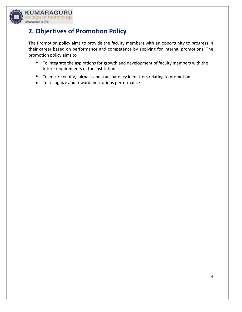

KUMARAGl ollege of technology charactor is li

# **2. Objectives of Promotion Policy**

The Promotion policy aims to provide the faculty members with an opportunity to progress in their career based on performance and competence by applying for internal promotions. The promotion policy aims to

- To integrate the aspirations for growth and development of faculty members with the future requirements of the institution
- To ensure equity, fairness and transparency in matters relating to promotion
- To recognize and reward meritorious performance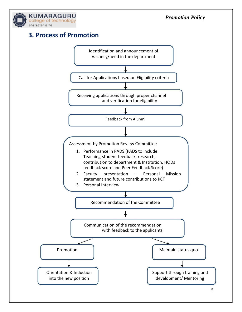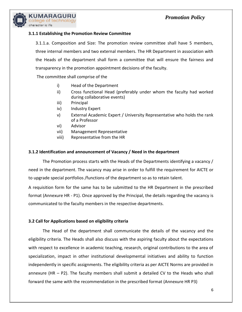

#### **3.1.1 Establishing the Promotion Review Committee**

3.1.1.a. Composition and Size: The promotion review committee shall have 5 members, three internal members and two external members. The HR Department in association with the Heads of the department shall form a committee that will ensure the fairness and transparency in the promotion appointment decisions of the faculty.

The committee shall comprise of the

- i) Head of the Department
- ii) Cross functional Head (preferably under whom the faculty had worked during collaborative events)
- iii) Principal
- iv) Industry Expert
- v) External Academic Expert / University Representative who holds the rank of a Professor
- vi) Advisor
- vii) Management Representative
- viii) Representative from the HR

#### **3.1.2 Identification and announcement of Vacancy / Need in the department**

The Promotion process starts with the Heads of the Departments identifying a vacancy / need in the department. The vacancy may arise in order to fulfill the requirement for AICTE or to upgrade special portfolios /functions of the department so as to retain talent.

A requisition form for the same has to be submitted to the HR Department in the prescribed format (Annexure HR - P1). Once approved by the Principal, the details regarding the vacancy is communicated to the faculty members in the respective departments.

#### **3.2 Call for Applications based on eligibility criteria**

The Head of the department shall communicate the details of the vacancy and the eligibility criteria. The Heads shall also discuss with the aspiring faculty about the expectations with respect to excellence in academic teaching, research, original contributions to the area of specialization, impact in other institutional developmental initiatives and ability to function independently in specific assignments. The eligibility criteria as per AICTE Norms are provided in annexure (HR – P2). The faculty members shall submit a detailed CV to the Heads who shall forward the same with the recommendation in the prescribed format (Annexure HR P3)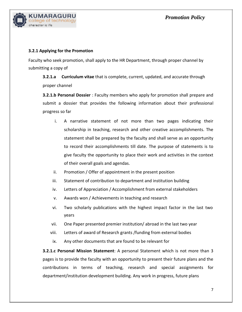

#### **3.2.1 Applying for the Promotion**

Faculty who seek promotion, shall apply to the HR Department, through proper channel by submitting a copy of

**3.2.1.a Curriculum vitae** that is complete, current, updated, and accurate through proper channel

**3.2.1.b Personal Dossier** : Faculty members who apply for promotion shall prepare and submit a dossier that provides the following information about their professional progress so far

- i. A narrative statement of not more than two pages indicating their scholarship in teaching, research and other creative accomplishments. The statement shall be prepared by the faculty and shall serve as an opportunity to record their accomplishments till date. The purpose of statements is to give faculty the opportunity to place their work and activities in the context of their overall goals and agendas.
- ii. Promotion / Offer of appointment in the present position
- iii. Statement of contribution to department and institution building
- iv. Letters of Appreciation / Accomplishment from external stakeholders
- v. Awards won / Achievements in teaching and research
- vi. Two scholarly publications with the highest impact factor in the last two years
- vii. One Paper presented premier institution/ abroad in the last two year
- viii. Letters of award of Research grants /funding from external bodies
- ix. Any other documents that are found to be relevant for

**3.2.1.c Personal Mission Statement**: A personal Statement which is not more than 3 pages is to provide the faculty with an opportunity to present their future plans and the contributions in terms of teaching, research and special assignments for department/institution development building. Any work in progress, future plans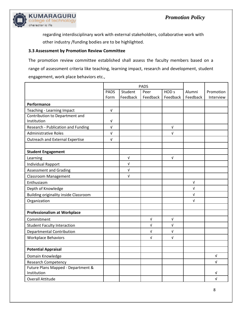

regarding interdisciplinary work with external stakeholders, collaborative work with other industry /funding bodies are to be highlighted.

#### **3.3 Assessment by Promotion Review Committee**

The promotion review committee established shall assess the faculty members based on a range of assessment criteria like teaching, learning impact, research and development, student engagement, work place behaviors etc.,

|                                                   | <b>PADS</b> |            |          |                  |            |            |
|---------------------------------------------------|-------------|------------|----------|------------------|------------|------------|
|                                                   | <b>PADS</b> | Student    | Peer     | HOD <sub>s</sub> | Alumni     | Promotion  |
|                                                   | Form        | Feedback   | Feedback | Feedback         | Feedback   | Interview  |
| Performance                                       |             |            |          |                  |            |            |
| Teaching - Learning Impact                        | $\sqrt{ }$  |            |          |                  |            |            |
| Contribution to Department and                    |             |            |          |                  |            |            |
| Institution                                       | V           |            |          |                  |            |            |
| Research - Publication and Funding                | $\sqrt{ }$  |            |          | V                |            |            |
| <b>Administrative Roles</b>                       | $\sqrt{ }$  |            |          | V                |            |            |
| <b>Outreach and External Expertise</b>            | V           |            |          |                  |            |            |
| <b>Student Engagement</b>                         |             |            |          |                  |            |            |
| Learning                                          |             | $\sqrt{ }$ |          | $\sqrt{ }$       |            |            |
| Individual Rapport                                |             | $\sqrt{ }$ |          |                  |            |            |
| <b>Assessment and Grading</b>                     |             | $\sqrt{ }$ |          |                  |            |            |
| <b>Classroom Management</b>                       |             | $\sqrt{ }$ |          |                  |            |            |
| Enthusiasm                                        |             |            |          |                  | $\sqrt{ }$ |            |
| Depth of Knowledge                                |             |            |          |                  | $\sqrt{ }$ |            |
| <b>Building originality inside Classroom</b>      |             |            |          |                  | $\sqrt{ }$ |            |
| Organization                                      |             |            |          |                  | $\sqrt{ }$ |            |
| <b>Professionalism at Workplace</b>               |             |            |          |                  |            |            |
| Commitment                                        |             |            | V        | V                |            |            |
| <b>Student Faculty Interaction</b>                |             |            | V        | V                |            |            |
| <b>Departmental Contribution</b>                  |             |            | V        | V                |            |            |
| <b>Workplace Behaviors</b>                        |             |            | V        | V                |            |            |
| <b>Potential Appraisal</b>                        |             |            |          |                  |            |            |
| Domain Knowledge                                  |             |            |          |                  |            | V          |
| <b>Research Competency</b>                        |             |            |          |                  |            | $\sqrt{ }$ |
| Future Plans Mapped - Department &<br>Institution |             |            |          |                  |            | v          |
| <b>Overall Attitude</b>                           |             |            |          |                  |            | $\sqrt{ }$ |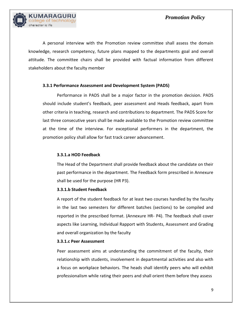

A personal interview with the Promotion review committee shall assess the domain knowledge, research competency, future plans mapped to the departments goal and overall attitude. The committee chairs shall be provided with factual information from different stakeholders about the faculty member

#### **3.3.1 Performance Assessment and Development System (PADS)**

Performance in PADS shall be a major factor in the promotion decision. PADS should include student's feedback, peer assessment and Heads feedback, apart from other criteria in teaching, research and contributions to department. The PADS Score for last three consecutive years shall be made available to the Promotion review committee at the time of the interview. For exceptional performers in the department, the promotion policy shall allow for fast track career advancement.

#### **3.3.1.a HOD Feedback**

The Head of the Department shall provide feedback about the candidate on their past performance in the department. The Feedback form prescribed in Annexure shall be used for the purpose (HR P3).

#### **3.3.1.b Student Feedback**

A report of the student feedback for at least two courses handled by the faculty in the last two semesters for different batches (sections) to be compiled and reported in the prescribed format. (Annexure HR- P4). The feedback shall cover aspects like Learning, Individual Rapport with Students, Assessment and Grading and overall organization by the faculty

#### **3.3.1.c Peer Assessment**

Peer assessment aims at understanding the commitment of the faculty, their relationship with students, involvement in departmental activities and also with a focus on workplace behaviors. The heads shall identify peers who will exhibit professionalism while rating their peers and shall orient them before they assess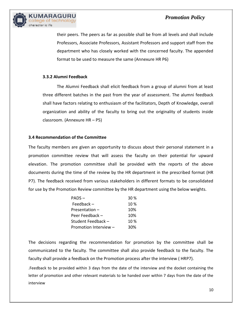

their peers. The peers as far as possible shall be from all levels and shall include Professors, Associate Professors, Assistant Professors and support staff from the department who has closely worked with the concerned faculty. The appended format to be used to measure the same (Annexure HR P6)

#### **3.3.2 Alumni Feedback**

The Alumni Feedback shall elicit feedback from a group of alumni from at least three different batches in the past from the year of assessment. The alumni feedback shall have factors relating to enthusiasm of the facilitators, Depth of Knowledge, overall organization and ability of the faculty to bring out the originality of students inside classroom. (Annexure HR – P5)

#### **3.4 Recommendation of the Committee**

The faculty members are given an opportunity to discuss about their personal statement in a promotion committee review that will assess the faculty on their potential for upward elevation. The promotion committee shall be provided with the reports of the above documents during the time of the review by the HR department in the prescribed format (HR P7). The feedback received from various stakeholders in different formats to be consolidated for use by the Promotion Review committee by the HR department using the below weights.

| PADS-                 | 30 % |
|-----------------------|------|
| Feedback $-$          | 10%  |
| Presentation -        | 10%  |
| Peer Feedback -       | 10%  |
| Student Feedback -    | 10%  |
| Promotion Interview - | 30%  |

The decisions regarding the recommendation for promotion by the committee shall be communicated to the faculty. The committee shall also provide feedback to the faculty. The faculty shall provide a feedback on the Promotion process after the interview ( HRP7).

.Feedback to be provided within 3 days from the date of the interview and the docket containing the letter of promotion and other relevant materials to be handed over within 7 days from the date of the interview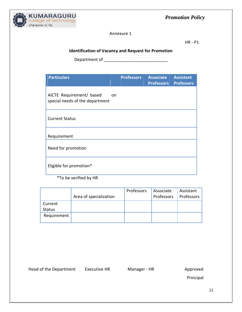

Annexure 1

HR - P1

## **Identification of Vacancy and Request for Promotion**

Department of \_\_\_\_\_\_\_\_\_\_\_\_\_\_\_\_\_\_\_\_\_\_\_\_\_\_\_

| <b>Particulars</b>                                                       | <b>Professors</b> | Associate<br><b>Professors</b> | <b>Assistant</b><br><b>Professors</b> |
|--------------------------------------------------------------------------|-------------------|--------------------------------|---------------------------------------|
| AICTE Requirement/ based<br><b>on</b><br>special needs of the department |                   |                                |                                       |
| <b>Current Status</b>                                                    |                   |                                |                                       |
| Requirement                                                              |                   |                                |                                       |
| Need for promotion                                                       |                   |                                |                                       |
| Eligible for promotion*                                                  |                   |                                |                                       |

\*To be verified by HR

|               | Area of specialization | Professors | Associate<br>Professors | Assistant<br>Professors |
|---------------|------------------------|------------|-------------------------|-------------------------|
| Current       |                        |            |                         |                         |
| <b>Status</b> |                        |            |                         |                         |
| Requirement   |                        |            |                         |                         |
|               |                        |            |                         |                         |

Head of the Department Executive HR Manager - HR Approved

Principal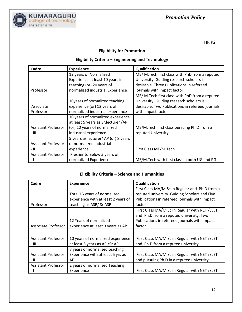

## **Eligibility for Promotion**

## **Eligibility Criteria – Engineering and Technology**

| Cadre                      | <b>Experience</b>                     | Qualification                                    |
|----------------------------|---------------------------------------|--------------------------------------------------|
|                            | 12 years of Normalized                | ME/ M.Tech first class with PhD from a reputed   |
|                            | Experience at least 10 years in       | University. Guiding research scholars is         |
|                            | teaching (or) 20 years of             | desirable. Three Publications in refereed        |
| Professor                  | normalized industrial Experience      | journals with impact factor                      |
|                            |                                       | ME/M. Tech first class with PhD from a reputed   |
|                            | 10years of normalized teaching        | University. Guiding research scholars is         |
| Associate                  | experience (or) 12 years of           | desirable. Two Publications in refereed journals |
| Professor                  | normalized industrial experience      | with impact factor                               |
|                            | 10 years of normalized experience     |                                                  |
|                            | at least 5 years as Sr. lecturer / AP |                                                  |
| <b>Assistant Professor</b> | (or) 10 years of normalized           | ME/M.Tech first class pursuing Ph.D from a       |
| - 111                      | industrial experience                 | reputed University                               |
|                            | 5 years as lecturer/AP (or) 8 years   |                                                  |
| <b>Assistant Professor</b> | of normalized industrial              |                                                  |
| - 11                       | experience                            | First Class ME/M.Tech                            |
| <b>Assistant Professor</b> | Fresher to Below 5 years of           |                                                  |
| $\overline{a}$             | normalized Experience                 | ME/M.Tech with first class in both UG and PG     |

## **Eligibility Criteria – Science and Humanities**

| Cadre                      | <b>Experience</b>                   | Qualification                                  |
|----------------------------|-------------------------------------|------------------------------------------------|
|                            |                                     | First Class MA/M.Sc in Regular and Ph.D from a |
|                            | Total 15 years of normalized        | reputed university. Guiding Scholars and Five  |
|                            | experience with at least 2 years of | Publications in refereed journals with impact  |
| Professor                  | teaching as ASP/Sr.ASP              | factor                                         |
|                            |                                     | First Class MA/M.Sc in Regular with NET /SLET  |
|                            |                                     | and Ph.D from a reputed university. Two        |
|                            | 12 Years of normalized              | Publications in refereed journals with impact  |
| Associate Professor        | experience at least 3 years as AP   | factor                                         |
|                            |                                     |                                                |
| Assistant Professor        | 10 years of normalized experience   | First Class MA/M.Sc in Regular with NET/SLET   |
| - 111                      | at least 5 years as AP /Sr.AP       | and Ph.D from a reputed university             |
|                            | 7 years of normalized teaching      |                                                |
| <b>Assistant Professor</b> | Experience with at least 5 yrs as   | First Class MA/M.Sc in Regular with NET /SLET  |
| - 11                       | AP                                  | and pursuing Ph.D in a reputed university      |
| <b>Assistant Professor</b> | 2 years of normalized Teaching      |                                                |
|                            | Experience                          | First Class MA/M.Sc in Regular with NET/SLET   |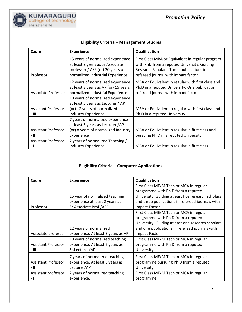

| Cadre                               | <b>Experience</b>                                                                                                                              | Qualification                                                                                                                                                                      |
|-------------------------------------|------------------------------------------------------------------------------------------------------------------------------------------------|------------------------------------------------------------------------------------------------------------------------------------------------------------------------------------|
| Professor                           | 15 years of normalized experience<br>at least 2 years as Sr. Associate<br>professor / ASP (or) 20 years of<br>normalized Industrial Experience | First Class MBA or Equivalent in regular program<br>with PhD from a reputed University. Guiding<br>Research Scholars. Three publications in<br>refereed journal with impact factor |
| Associate Professor                 | 12 years of normalized experience<br>at least 3 years as AP (or) 15 years<br>normalized industrial Experience                                  | MBA or Equivalent in regular with first class and<br>Ph.D in a reputed University. One publication in<br>refereed journal with impact factor                                       |
| <b>Assistant Professor</b><br>- 111 | 10 years of normalized experience<br>at least 5 years as Lecturer / AP<br>(or) 12 years of normalized<br><b>Industry Experience</b>            | MBA or Equivalent in regular with first class and<br>Ph.D in a reputed University                                                                                                  |
| Assistant Professor<br>- 11         | 7 years of normalized experience<br>at least 5 years as Lecturer / AP<br>(or) 8 years of normalized Industry<br>Experience                     | MBA or Equivalent in regular in first class and<br>pursuing Ph.D in a reputed University                                                                                           |
| <b>Assistant Professor</b><br>$-1$  | 2 years of normalized Teaching /<br><b>Industry Experience</b>                                                                                 | MBA or Equivalent in regular in first class.                                                                                                                                       |

## **Eligibility Criteria – Management Studies**

## **Eligibility Criteria – Computer Applications**

| Cadre                      | <b>Experience</b>                  | <b>Qualification</b>                               |
|----------------------------|------------------------------------|----------------------------------------------------|
|                            |                                    | First Class ME/M.Tech or MCA in regular            |
|                            |                                    | programme with Ph D from a reputed                 |
|                            | 15 year of normalized teaching     | University. Guiding atleast five research scholars |
|                            | experience at least 2 years as     | and three publications in refereed journals with   |
| Professor                  | Sr.Associate Prof /ASP             | Impact Factor                                      |
|                            |                                    | First Class ME/M.Tech or MCA in regular            |
|                            |                                    | programme with Ph D from a reputed                 |
|                            |                                    | University. Guiding atleast one research scholars  |
|                            | 12 years of normalized             | and one publications in refereed journals with     |
| Associate professor        | experience. At least 3 years as AP | <b>Impact Factor</b>                               |
|                            | 10 years of normalized teaching    | First Class ME/M.Tech or MCA in regular            |
| <b>Assistant Professor</b> | experience. At least 5 years as    | programme with Ph D from a reputed                 |
| - 111                      | Sr.Lecturer/AP                     | University.                                        |
|                            | 7 years of normalized teaching     | First Class ME/M.Tech or MCA in regular            |
| <b>Assistant Professor</b> | experience. At least 5 years as    | programme pursuing Ph D from a reputed             |
| - 11                       | Lecturer/AP                        | University.                                        |
| Assistant professor        | 2 years of normalized teaching     | First Class ME/M.Tech or MCA in regular            |
|                            | experience.                        | programme.                                         |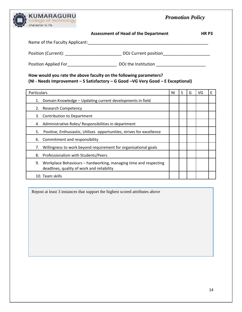

| <b>Assessment of Head of the Department</b> | HR P3 |
|---------------------------------------------|-------|
|---------------------------------------------|-------|

| Name of the Faculty Applicant: |                      |
|--------------------------------|----------------------|
| Position (Current):            | DOJ Current position |
| Position Applied For           | DOJ the Institution  |

### **How would you rate the above faculty on the following parameters? (NI - Needs Improvement – S Satisfactory – G Good –VG Very Good – E Exceptional)**

| <b>Particulars</b>                                                                                                   |  | S | G | VG | Ε |
|----------------------------------------------------------------------------------------------------------------------|--|---|---|----|---|
| Domain Knowledge - Updating current developments in field<br>1.                                                      |  |   |   |    |   |
| <b>Research Competency</b><br>2.                                                                                     |  |   |   |    |   |
| <b>Contribution to Department</b><br>3.                                                                              |  |   |   |    |   |
| Administrative Roles/ Responsibilities in department<br>4.                                                           |  |   |   |    |   |
| Positive, Enthusiastic, Utilizes opportunities, strives for excellence<br>5.                                         |  |   |   |    |   |
| 6. Commitment and responsibility                                                                                     |  |   |   |    |   |
| Willingness to work beyond requirement for organisational goals<br>7.                                                |  |   |   |    |   |
| 8. Professionalism with Students/Peers                                                                               |  |   |   |    |   |
| Workplace Behaviours – hardworking, managing time and respecting<br>9.<br>deadlines, quality of work and reliability |  |   |   |    |   |
| 10. Team skills                                                                                                      |  |   |   |    |   |

Repost at least 3 instances that support the highest scored attributes above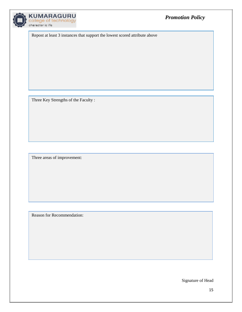

Repost at least 3 instances that support the lowest scored attribute above

Three Key Strengths of the Faculty :

Three areas of improvement:

Reason for Recommendation:

Signature of Head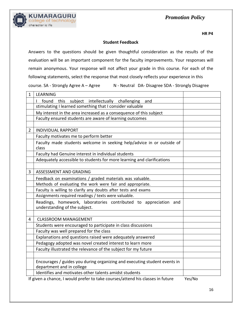



#### **Student Feedback**

Answers to the questions should be given thoughtful consideration as the results of the evaluation will be an important component for the faculty improvements. Your responses will remain anonymous. Your response will not affect your grade in this course. For each of the following statements, select the response that most closely reflects your experience in this course. SA - Strongly Agree A – Agree N - Neutral DA- Disagree SDA - Strongly Disagree

| 1 | <b>LEARNING</b>                                                                                        |                 |
|---|--------------------------------------------------------------------------------------------------------|-----------------|
|   | subject intellectually challenging and<br>found<br>this<br>L                                           |                 |
|   | stimulating I learned something that I consider valuable                                               |                 |
|   | My interest in the area increased as a consequence of this subject                                     |                 |
|   | Faculty ensured students are aware of learning outcomes                                                |                 |
|   |                                                                                                        |                 |
| 2 | <b>INDIVIDUAL RAPPORT</b>                                                                              |                 |
|   | Faculty motivates me to perform better                                                                 |                 |
|   | Faculty made students welcome in seeking help/advice in or outside of<br>class                         |                 |
|   | Faculty had Genuine interest in individual students                                                    |                 |
|   | Adequately accessible to students for more learning and clarifications                                 |                 |
|   |                                                                                                        |                 |
| 3 | ASSESSMENT AND GRADING                                                                                 |                 |
|   | Feedback on examinations / graded materials was valuable.                                              |                 |
|   | Methods of evaluating the work were fair and appropriate.                                              |                 |
|   | Faculty is willing to clarify any doubts after tests and exams                                         |                 |
|   | Assignments required readings / texts were valuable.                                                   |                 |
|   | Readings, homework, laboratories contributed to appreciation and<br>understanding of the subject.      |                 |
|   |                                                                                                        |                 |
| 4 | <b>CLASSROOM MANAGEMENT</b>                                                                            |                 |
|   | Students were encouraged to participate in class discussions                                           |                 |
|   | Faculty was well prepared for the class                                                                |                 |
|   | Explanations and questions raised were adequately answered                                             |                 |
|   | Pedagogy adopted was novel created interest to learn more                                              |                 |
|   | Faculty illustrated the relevance of the subject for my future                                         |                 |
|   |                                                                                                        |                 |
|   | Encourages / guides you during organizing and executing student events in<br>department and in college |                 |
|   | Identifies and motivates other talents amidst students                                                 |                 |
|   | If given a chance I would profer to take courses/attend bis classes in future                          | $V_{0c}/N_{0c}$ |

If given a chance, I would prefer to take courses/attend his classes in future Yes/No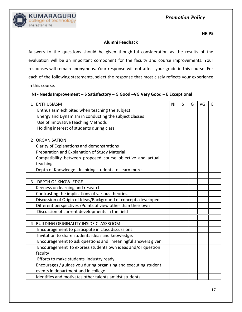

#### **Alumni Feedback**

Answers to the questions should be given thoughtful consideration as the results of the evaluation will be an important component for the faculty and course improvements. Your responses will remain anonymous. Your response will not affect your grade in this course. For each of the following statements, select the response that most clsely reflects your experience in this course.

#### **NI - Needs Improvement – S Satisfactory – G Good –VG Very Good – E Exceptional**

| $\mathbf{1}$   | <b>ENTHUSIASM</b>                                               | N <sub>1</sub> | S | G | VG | F |
|----------------|-----------------------------------------------------------------|----------------|---|---|----|---|
|                | Enthusiasm exhibited when teaching the subject                  |                |   |   |    |   |
|                | Energy and Dynamism in conducting the subject classes           |                |   |   |    |   |
|                | Use of Innovative teaching Methods                              |                |   |   |    |   |
|                | Holding interest of students during class.                      |                |   |   |    |   |
|                |                                                                 |                |   |   |    |   |
| $\overline{2}$ | <b>ORGANISATION</b>                                             |                |   |   |    |   |
|                | Clarity of Explanations and demonstrations                      |                |   |   |    |   |
|                | Preparation and Explanation of Study Material                   |                |   |   |    |   |
|                | Compatibility between proposed course objective and actual      |                |   |   |    |   |
|                | teaching                                                        |                |   |   |    |   |
|                | Depth of Knowledge - Inspiring students to Learn more           |                |   |   |    |   |
|                |                                                                 |                |   |   |    |   |
| 3              | <b>DEPTH OF KNOWLEDGE</b>                                       |                |   |   |    |   |
|                | Keeness on learning and research                                |                |   |   |    |   |
|                | Contrasting the implications of various theories.               |                |   |   |    |   |
|                | Discussion of Origin of Ideas/Background of concepts developed  |                |   |   |    |   |
|                | Different perspectives / Points of view other than their own    |                |   |   |    |   |
|                | Discussion of current developments in the field                 |                |   |   |    |   |
|                |                                                                 |                |   |   |    |   |
| 4              | <b>BUILDING ORIGINALITY INSIDE CLASSROOM</b>                    |                |   |   |    |   |
|                | Encouragement to participate in class discussions.              |                |   |   |    |   |
|                | Invitation to share students ideas and knowledge.               |                |   |   |    |   |
|                | Encouragement to ask questions and meaningful answers given.    |                |   |   |    |   |
|                | Encouragement to express students own ideas and/or question     |                |   |   |    |   |
|                | faculty                                                         |                |   |   |    |   |
|                | Efforts to make students 'industry ready'                       |                |   |   |    |   |
|                | Encourages / guides you during organizing and executing student |                |   |   |    |   |
|                | events in department and in college                             |                |   |   |    |   |
|                | Identifies and motivates other talents amidst students          |                |   |   |    |   |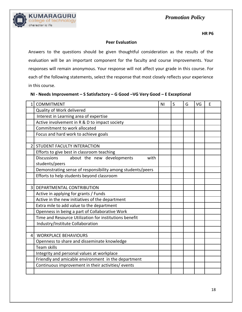

#### **Peer Evaluation**

Answers to the questions should be given thoughtful consideration as the results of the evaluation will be an important component for the faculty and course improvements. Your responses will remain anonymous. Your response will not affect your grade in this course. For each of the following statements, select the response that most closely reflects your experience in this course.

| NI - Needs Improvement - S Satisfactory - G Good - VG Very Good - E Exceptional |  |  |
|---------------------------------------------------------------------------------|--|--|
|---------------------------------------------------------------------------------|--|--|

| 1              | <b>COMMITMENT</b>                                          | N <sub>1</sub> | S | G | VG | E |
|----------------|------------------------------------------------------------|----------------|---|---|----|---|
|                | Quality of Work delivered                                  |                |   |   |    |   |
|                | Interest in Learning area of expertise                     |                |   |   |    |   |
|                | Active involvement in R & D to impact society              |                |   |   |    |   |
|                | Commitment to work allocated                               |                |   |   |    |   |
|                | Focus and hard work to achieve goals                       |                |   |   |    |   |
|                |                                                            |                |   |   |    |   |
| $\overline{2}$ | <b>STUDENT FACULTY INTERACTION</b>                         |                |   |   |    |   |
|                | Efforts to give best in classroom teaching                 |                |   |   |    |   |
|                | <b>Discussions</b><br>about the new developments<br>with   |                |   |   |    |   |
|                | students/peers                                             |                |   |   |    |   |
|                | Demonstrating sense of responsibility among students/peers |                |   |   |    |   |
|                | Efforts to help students beyond classroom                  |                |   |   |    |   |
|                |                                                            |                |   |   |    |   |
| $\overline{3}$ | DEPARTMENTAL CONTRIBUTION                                  |                |   |   |    |   |
|                | Active in applying for grants / Funds                      |                |   |   |    |   |
|                | Active in the new initiatives of the department            |                |   |   |    |   |
|                | Extra mile to add value to the department                  |                |   |   |    |   |
|                | Openness in being a part of Collaborative Work             |                |   |   |    |   |
|                | Time and Resource Utilization for institutions benefit     |                |   |   |    |   |
|                | Industry/Institute Collaboration                           |                |   |   |    |   |
|                |                                                            |                |   |   |    |   |
| 4              | <b>WORKPLACE BEHAVIOURS</b>                                |                |   |   |    |   |
|                | Openness to share and disseminate knowledge                |                |   |   |    |   |
|                | <b>Team skills</b>                                         |                |   |   |    |   |
|                | Integrity and personal values at workplace                 |                |   |   |    |   |
|                | Friendly and amicable environment in the department        |                |   |   |    |   |
|                | Continuous improvement in their activities/ events         |                |   |   |    |   |
|                |                                                            |                |   |   |    |   |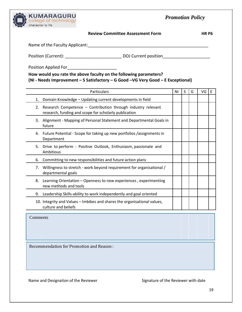| KUMARAGURU        |
|-------------------|
| character is life |

| <b>Review Committee Assessment Form</b> | HR P6 |
|-----------------------------------------|-------|
|-----------------------------------------|-------|

| Name of the Faculty Applicant: |  |  |
|--------------------------------|--|--|
|--------------------------------|--|--|

Position (Current): \_\_\_\_\_\_\_\_\_\_\_\_\_\_\_\_\_\_\_\_\_\_\_\_ DOJ Current position\_\_\_\_\_\_\_\_\_\_\_\_\_\_\_\_\_\_\_\_

Position Applied For\_\_\_\_\_\_\_\_\_\_\_\_\_\_\_\_\_\_\_\_\_

**How would you rate the above faculty on the following parameters? (NI - Needs Improvement – S Satisfactory – G Good –VG Very Good – E Exceptional)**

| Particulars                                                                                                                 | ΝI | S | G | VG | E |
|-----------------------------------------------------------------------------------------------------------------------------|----|---|---|----|---|
| Domain Knowledge - Updating current developments in field<br>1.                                                             |    |   |   |    |   |
| Research Competence - Contribution through industry relevant<br>2.<br>research, funding and scope for scholarly publication |    |   |   |    |   |
| Alignment - Mapping of Personal Statement and Departmental Goals in<br>3.<br>future                                         |    |   |   |    |   |
| Future Potential - Scope for taking up new portfolios /assignments in<br>4.<br>Department                                   |    |   |   |    |   |
| Drive to perform - Positive Outlook, Enthusiasm, passionate and<br>5.<br>Ambitious                                          |    |   |   |    |   |
| Committing to new responsibilities and future action plans<br>6.                                                            |    |   |   |    |   |
| Willingness to stretch - work beyond requirement for organisational /<br>7.<br>departmental goals                           |    |   |   |    |   |
| 8.<br>Learning Orientation - Openness to new experiences, experimenting<br>new methods and tools                            |    |   |   |    |   |
| Leadership Skills-ability to work independently and goal oriented<br>9.                                                     |    |   |   |    |   |
| 10. Integrity and Values – Imbibes and shares the organisational values,<br>culture and beliefs                             |    |   |   |    |   |

Comments

Recommendation for Promotion and Reason :

Name and Designation of the Reviewer Signature of the Reviewer with date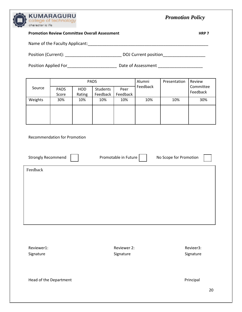

| <b>Promotion Review Committee Overall Assessment</b> |                                     |               |                      |                      |          |                        | HRP <sub>7</sub>      |  |
|------------------------------------------------------|-------------------------------------|---------------|----------------------|----------------------|----------|------------------------|-----------------------|--|
|                                                      |                                     |               |                      |                      |          |                        |                       |  |
|                                                      |                                     |               |                      |                      |          |                        |                       |  |
|                                                      |                                     |               |                      |                      |          |                        |                       |  |
|                                                      |                                     |               | PADS                 |                      | Alumni   | Presentation           | Review                |  |
| Source                                               | <b>PADS</b><br>Score                | HOD<br>Rating | Students<br>Feedback | Peer<br>Feedback     | Feedback |                        | Committee<br>Feedback |  |
| Weights                                              | 30%                                 | 10%           | 10%                  | 10%                  | 10%      | 10%                    | 30%                   |  |
|                                                      |                                     |               |                      |                      |          |                        |                       |  |
|                                                      |                                     |               |                      |                      |          |                        |                       |  |
|                                                      | <b>Recommendation for Promotion</b> |               |                      |                      |          |                        |                       |  |
|                                                      |                                     |               |                      |                      |          |                        |                       |  |
| <b>Strongly Recommend</b>                            |                                     |               |                      | Promotable in Future |          | No Scope for Promotion |                       |  |
| Feedback                                             |                                     |               |                      |                      |          |                        |                       |  |
|                                                      |                                     |               |                      |                      |          |                        |                       |  |
|                                                      |                                     |               |                      |                      |          |                        |                       |  |
|                                                      |                                     |               |                      |                      |          |                        |                       |  |
|                                                      |                                     |               |                      |                      |          |                        |                       |  |
|                                                      |                                     |               |                      |                      |          |                        |                       |  |
|                                                      |                                     |               |                      |                      |          |                        |                       |  |
| Reviewer1:<br>Reviewer 2:<br>Revieer3:               |                                     |               |                      |                      |          |                        |                       |  |
| Signature                                            |                                     |               |                      | Signature            |          |                        | Signature             |  |
|                                                      |                                     |               |                      |                      |          |                        |                       |  |
|                                                      | Head of the Department              |               |                      |                      |          |                        | Principal             |  |
|                                                      |                                     |               |                      |                      |          |                        | 20                    |  |
|                                                      |                                     |               |                      |                      |          |                        |                       |  |